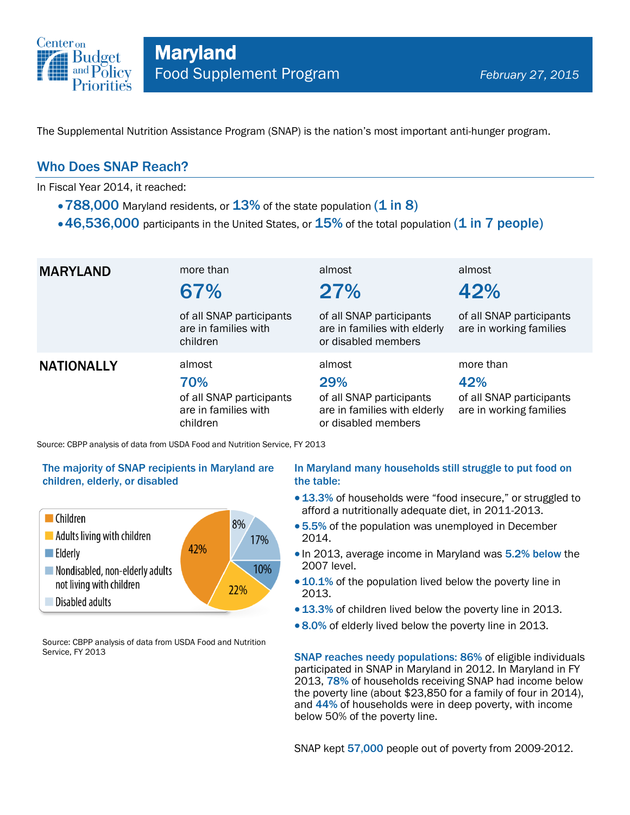

The Supplemental Nutrition Assistance Program (SNAP) is the nation's most important anti-hunger program.

### Who Does SNAP Reach?

In Fiscal Year 2014, it reached:

- $\cdot$  788,000 Maryland residents, or  $13\%$  of the state population (1 in 8)
- $\cdot$  46,536,000 participants in the United States, or  $15\%$  of the total population (1 in 7 people)

| <b>MARYLAND</b>   | more than<br>67%<br>of all SNAP participants<br>are in families with<br>children | almost<br>27%<br>of all SNAP participants<br>are in families with elderly<br>or disabled members | almost<br>42%<br>of all SNAP participants<br>are in working families    |
|-------------------|----------------------------------------------------------------------------------|--------------------------------------------------------------------------------------------------|-------------------------------------------------------------------------|
| <b>NATIONALLY</b> | almost<br>70%<br>of all SNAP participants<br>are in families with<br>children    | almost<br>29%<br>of all SNAP participants<br>are in families with elderly<br>or disabled members | more than<br>42%<br>of all SNAP participants<br>are in working families |

Source: CBPP analysis of data from USDA Food and Nutrition Service, FY 2013

#### The majority of SNAP recipients in Maryland are children, elderly, or disabled



Source: CBPP analysis of data from USDA Food and Nutrition Service, FY 2013

#### In Maryland many households still struggle to put food on the table:

- 13.3% of households were "food insecure," or struggled to afford a nutritionally adequate diet, in 2011-2013.
- 5.5% of the population was unemployed in December 2014.
- In 2013, average income in Maryland was 5.2% below the 2007 level.
- 10.1% of the population lived below the poverty line in 2013.
- 13.3% of children lived below the poverty line in 2013.
- 8.0% of elderly lived below the poverty line in 2013.

SNAP reaches needy populations: 86% of eligible individuals participated in SNAP in Maryland in 2012. In Maryland in FY 2013, 78% of households receiving SNAP had income below the poverty line (about \$23,850 for a family of four in 2014), and 44% of households were in deep poverty, with income below 50% of the poverty line.

SNAP kept 57,000 people out of poverty from 2009-2012.